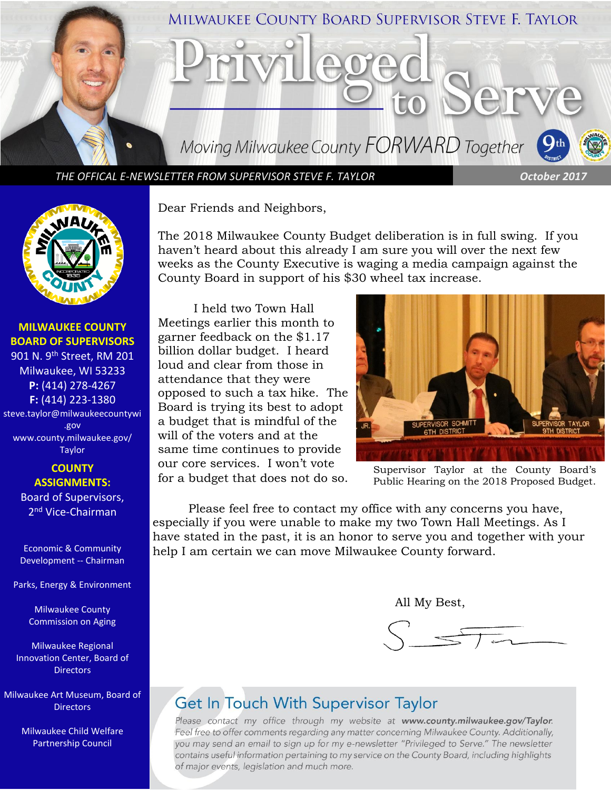

*THE OFFICAL E-NEWSLETTER FROM SUPERVISOR STEVE F. TAYLOR October 2017*



**MILWAUKEE COUNTY BOARD OF SUPERVISORS** 901 N. 9th Street, RM 201 Milwaukee, WI 53233 **P:** (414) 278-4267 **F:** (414) 223-1380 steve.taylor@milwaukeecountywi .gov [www.county.milwaukee.gov/](http://www.county.milwaukee.gov/Taylor) [Taylor](http://www.county.milwaukee.gov/Taylor)

> **COUNTY ASSIGNMENTS:** Board of Supervisors, 2<sup>nd</sup> Vice-Chairman

Economic & Community Development -- Chairman

Parks, Energy & Environment

Milwaukee County Commission on Aging

Milwaukee Regional Innovation Center, Board of **Directors** 

Milwaukee Art Museum, Board of **Directors** 

> Milwaukee Child Welfare Partnership Council

Dear Friends and Neighbors,

The 2018 Milwaukee County Budget deliberation is in full swing. If you haven't heard about this already I am sure you will over the next few weeks as the County Executive is waging a media campaign against the County Board in support of his \$30 wheel tax increase.

I held two Town Hall Meetings earlier this month to garner feedback on the \$1.17 billion dollar budget. I heard loud and clear from those in attendance that they were opposed to such a tax hike. The Board is trying its best to adopt a budget that is mindful of the will of the voters and at the same time continues to provide our core services. I won't vote for a budget that does not do so.



Supervisor Taylor at the County Board's Public Hearing on the 2018 Proposed Budget.

Please feel free to contact my office with any concerns you have, especially if you were unable to make my two Town Hall Meetings. As I have stated in the past, it is an honor to serve you and together with your help I am certain we can move Milwaukee County forward.

All My Best,

## **Get In Touch With Supervisor Taylor**

Please contact my office through my website at www.county.milwaukee.gov/Taylor. Feel free to offer comments regarding any matter concerning Milwaukee County. Additionally, you may send an email to sign up for my e-newsletter "Privileged to Serve." The newsletter contains useful information pertaining to my service on the County Board, including highlights of major events, legislation and much more.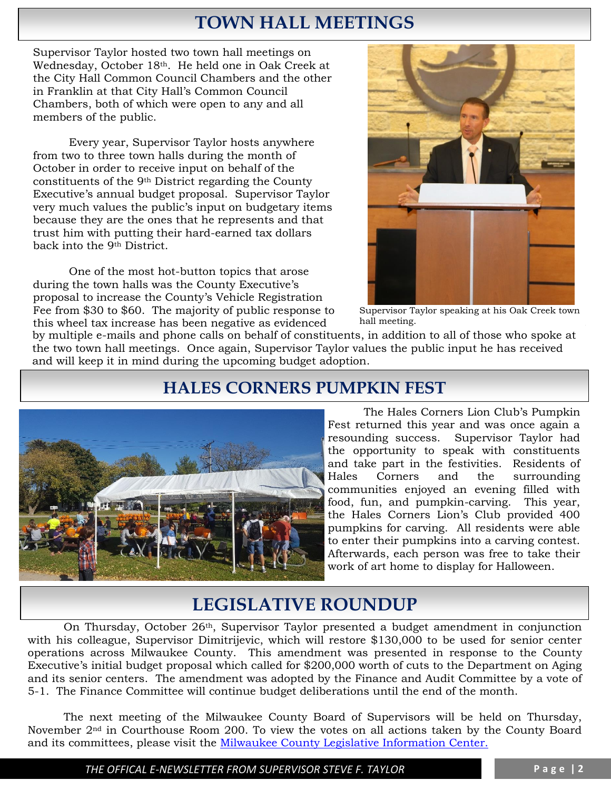# **TOWN HALL MEETINGS**

Supervisor Taylor hosted two town hall meetings on Wednesday, October 18th. He held one in Oak Creek at the City Hall Common Council Chambers and the other in Franklin at that City Hall's Common Council Chambers, both of which were open to any and all members of the public.

Every year, Supervisor Taylor hosts anywhere from two to three town halls during the month of October in order to receive input on behalf of the constituents of the 9th District regarding the County Executive's annual budget proposal. Supervisor Taylor very much values the public's input on budgetary items because they are the ones that he represents and that trust him with putting their hard-earned tax dollars back into the 9th District.

One of the most hot-button topics that arose during the town halls was the County Executive's proposal to increase the County's Vehicle Registration Fee from \$30 to \$60. The majority of public response to this wheel tax increase has been negative as evidenced



Supervisor Taylor speaking at his Oak Creek town hall meeting.

by multiple e-mails and phone calls on behalf of constituents, in addition to all of those who spoke at the two town hall meetings. Once again, Supervisor Taylor values the public input he has received and will keep it in mind during the upcoming budget adoption.

### **HALES CORNERS PUMPKIN FEST**



The Hales Corners Lion Club's Pumpkin Fest returned this year and was once again a resounding success. Supervisor Taylor had the opportunity to speak with constituents and take part in the festivities. Residents of Hales Corners and the surrounding communities enjoyed an evening filled with food, fun, and pumpkin-carving. This year, the Hales Corners Lion's Club provided 400 pumpkins for carving. All residents were able to enter their pumpkins into a carving contest. Afterwards, each person was free to take their work of art home to display for Halloween.

# **LEGISLATIVE ROUNDUP**

On Thursday, October 26th, Supervisor Taylor presented a budget amendment in conjunction with his colleague, Supervisor Dimitrijevic, which will restore \$130,000 to be used for senior center operations across Milwaukee County. This amendment was presented in response to the County Executive's initial budget proposal which called for \$200,000 worth of cuts to the Department on Aging and its senior centers. The amendment was adopted by the Finance and Audit Committee by a vote of 5-1. The Finance Committee will continue budget deliberations until the end of the month.

The next meeting of the Milwaukee County Board of Supervisors will be held on Thursday, November 2nd in Courthouse Room 200. To view the votes on all actions taken by the County Board and its committees, please visit the [Milwaukee County Legislative Information Center.](http://milwaukeecounty.legistar.com/Calendar.aspx) 

*THE OFFICAL E-NEWSLETTER FROM SUPERVISOR STEVE F. TAYLOR* **P a g e | 2**